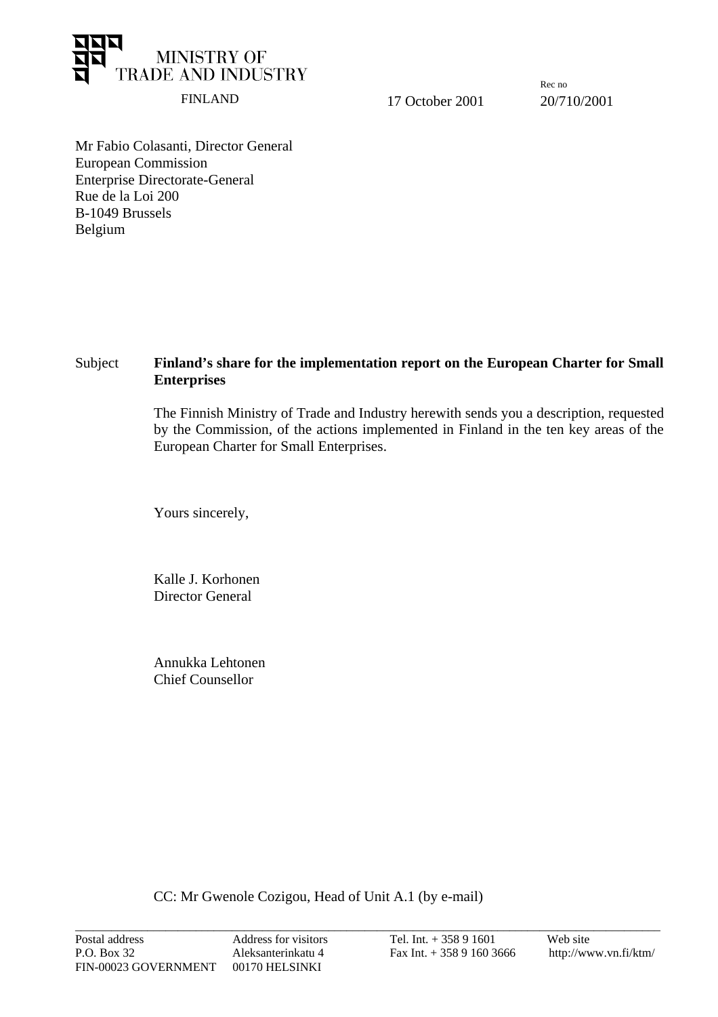

#### FINLAND

17 October 2001 20/710/2001

Rec no

Mr Fabio Colasanti, Director General European Commission Enterprise Directorate-General Rue de la Loi 200 B-1049 Brussels Belgium

### Subject **Finland's share for the implementation report on the European Charter for Small Enterprises**

The Finnish Ministry of Trade and Industry herewith sends you a description, requested by the Commission, of the actions implemented in Finland in the ten key areas of the European Charter for Small Enterprises.

Yours sincerely,

Kalle J. Korhonen Director General

Annukka Lehtonen Chief Counsellor

CC: Mr Gwenole Cozigou, Head of Unit A.1 (by e-mail)

 $\_$  ,  $\_$  ,  $\_$  ,  $\_$  ,  $\_$  ,  $\_$  ,  $\_$  ,  $\_$  ,  $\_$  ,  $\_$  ,  $\_$  ,  $\_$  ,  $\_$  ,  $\_$  ,  $\_$  ,  $\_$  ,  $\_$  ,  $\_$  ,  $\_$  ,  $\_$  ,  $\_$  ,  $\_$  ,  $\_$  ,  $\_$  ,  $\_$  ,  $\_$  ,  $\_$  ,  $\_$  ,  $\_$  ,  $\_$  ,  $\_$  ,  $\_$  ,  $\_$  ,  $\_$  ,  $\_$  ,  $\_$  ,  $\_$  ,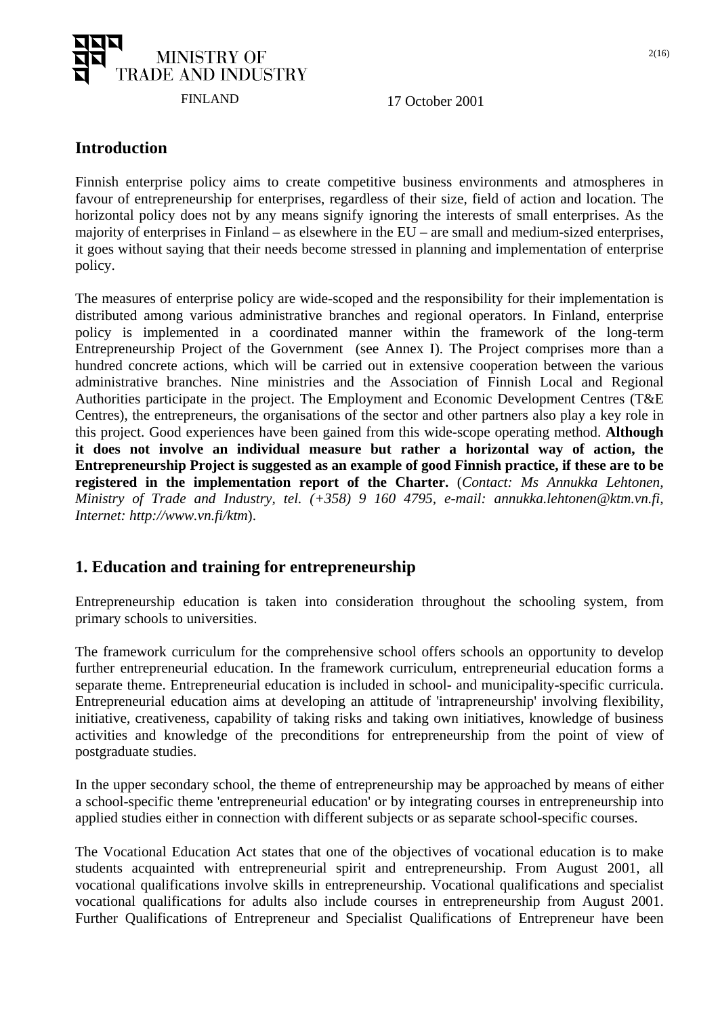FINLAND 17 October 2001

Finnish enterprise policy aims to create competitive business environments and atmospheres in favour of entrepreneurship for enterprises, regardless of their size, field of action and location. The horizontal policy does not by any means signify ignoring the interests of small enterprises. As the majority of enterprises in Finland – as elsewhere in the EU – are small and medium-sized enterprises, it goes without saying that their needs become stressed in planning and implementation of enterprise policy.

The measures of enterprise policy are wide-scoped and the responsibility for their implementation is distributed among various administrative branches and regional operators. In Finland, enterprise policy is implemented in a coordinated manner within the framework of the long-term Entrepreneurship Project of the Government (see Annex I). The Project comprises more than a hundred concrete actions, which will be carried out in extensive cooperation between the various administrative branches. Nine ministries and the Association of Finnish Local and Regional Authorities participate in the project. The Employment and Economic Development Centres (T&E Centres), the entrepreneurs, the organisations of the sector and other partners also play a key role in this project. Good experiences have been gained from this wide-scope operating method. **Although it does not involve an individual measure but rather a horizontal way of action, the Entrepreneurship Project is suggested as an example of good Finnish practice, if these are to be registered in the implementation report of the Charter.** (*Contact: Ms Annukka Lehtonen, Ministry of Trade and Industry, tel. (+358) 9 160 4795, e-mail: annukka.lehtonen@ktm.vn.fi, Internet: http://www.vn.fi/ktm*).

### **1. Education and training for entrepreneurship**

Entrepreneurship education is taken into consideration throughout the schooling system, from primary schools to universities.

The framework curriculum for the comprehensive school offers schools an opportunity to develop further entrepreneurial education. In the framework curriculum, entrepreneurial education forms a separate theme. Entrepreneurial education is included in school- and municipality-specific curricula. Entrepreneurial education aims at developing an attitude of 'intrapreneurship' involving flexibility, initiative, creativeness, capability of taking risks and taking own initiatives, knowledge of business activities and knowledge of the preconditions for entrepreneurship from the point of view of postgraduate studies.

In the upper secondary school, the theme of entrepreneurship may be approached by means of either a school-specific theme 'entrepreneurial education' or by integrating courses in entrepreneurship into applied studies either in connection with different subjects or as separate school-specific courses.

The Vocational Education Act states that one of the objectives of vocational education is to make students acquainted with entrepreneurial spirit and entrepreneurship. From August 2001, all vocational qualifications involve skills in entrepreneurship. Vocational qualifications and specialist vocational qualifications for adults also include courses in entrepreneurship from August 2001. Further Qualifications of Entrepreneur and Specialist Qualifications of Entrepreneur have been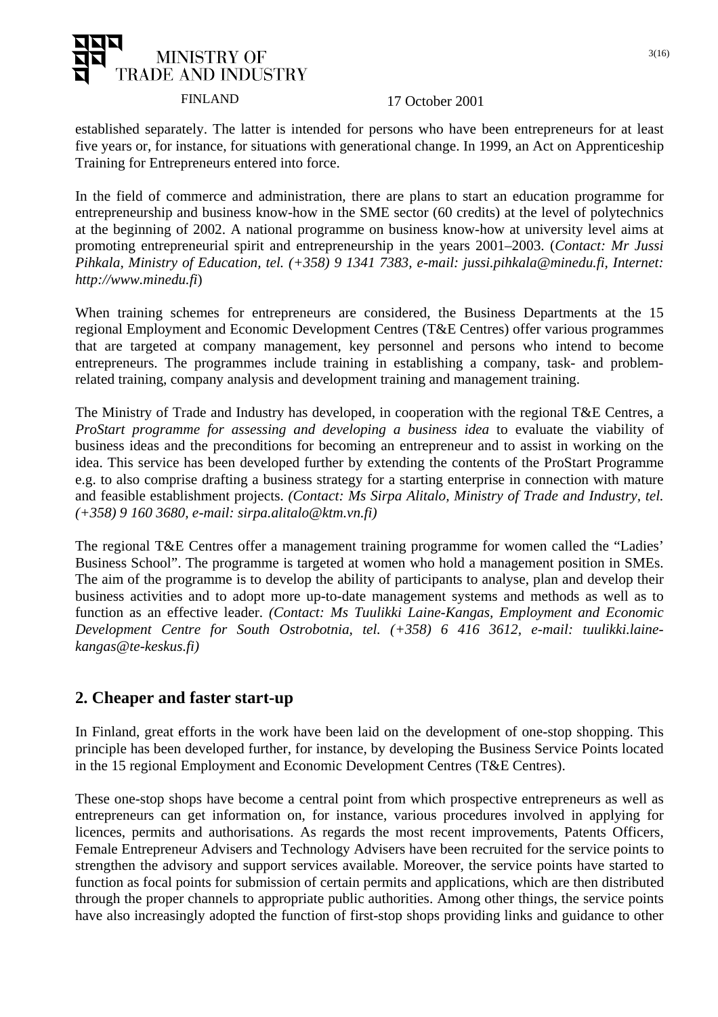FINLAND 17 October 2001

established separately. The latter is intended for persons who have been entrepreneurs for at least five years or, for instance, for situations with generational change. In 1999, an Act on Apprenticeship Training for Entrepreneurs entered into force.

In the field of commerce and administration, there are plans to start an education programme for entrepreneurship and business know-how in the SME sector (60 credits) at the level of polytechnics at the beginning of 2002. A national programme on business know-how at university level aims at promoting entrepreneurial spirit and entrepreneurship in the years 2001–2003. (*Contact: Mr Jussi Pihkala, Ministry of Education, tel. (+358) 9 1341 7383, e-mail: jussi.pihkala@minedu.fi, Internet: http://www.minedu.fi*)

When training schemes for entrepreneurs are considered, the Business Departments at the 15 regional Employment and Economic Development Centres (T&E Centres) offer various programmes that are targeted at company management, key personnel and persons who intend to become entrepreneurs. The programmes include training in establishing a company, task- and problemrelated training, company analysis and development training and management training.

The Ministry of Trade and Industry has developed, in cooperation with the regional T&E Centres, a *ProStart programme for assessing and developing a business idea* to evaluate the viability of business ideas and the preconditions for becoming an entrepreneur and to assist in working on the idea. This service has been developed further by extending the contents of the ProStart Programme e.g. to also comprise drafting a business strategy for a starting enterprise in connection with mature and feasible establishment projects. *(Contact: Ms Sirpa Alitalo, Ministry of Trade and Industry, tel. (+358) 9 160 3680, e-mail: sirpa.alitalo@ktm.vn.fi)*

The regional T&E Centres offer a management training programme for women called the "Ladies' Business School". The programme is targeted at women who hold a management position in SMEs. The aim of the programme is to develop the ability of participants to analyse, plan and develop their business activities and to adopt more up-to-date management systems and methods as well as to function as an effective leader. *(Contact: Ms Tuulikki Laine-Kangas, Employment and Economic Development Centre for South Ostrobotnia, tel. (+358) 6 416 3612, e-mail: tuulikki.lainekangas@te-keskus.fi)*

## **2. Cheaper and faster start-up**

In Finland, great efforts in the work have been laid on the development of one-stop shopping. This principle has been developed further, for instance, by developing the Business Service Points located in the 15 regional Employment and Economic Development Centres (T&E Centres).

These one-stop shops have become a central point from which prospective entrepreneurs as well as entrepreneurs can get information on, for instance, various procedures involved in applying for licences, permits and authorisations. As regards the most recent improvements, Patents Officers, Female Entrepreneur Advisers and Technology Advisers have been recruited for the service points to strengthen the advisory and support services available. Moreover, the service points have started to function as focal points for submission of certain permits and applications, which are then distributed through the proper channels to appropriate public authorities. Among other things, the service points have also increasingly adopted the function of first-stop shops providing links and guidance to other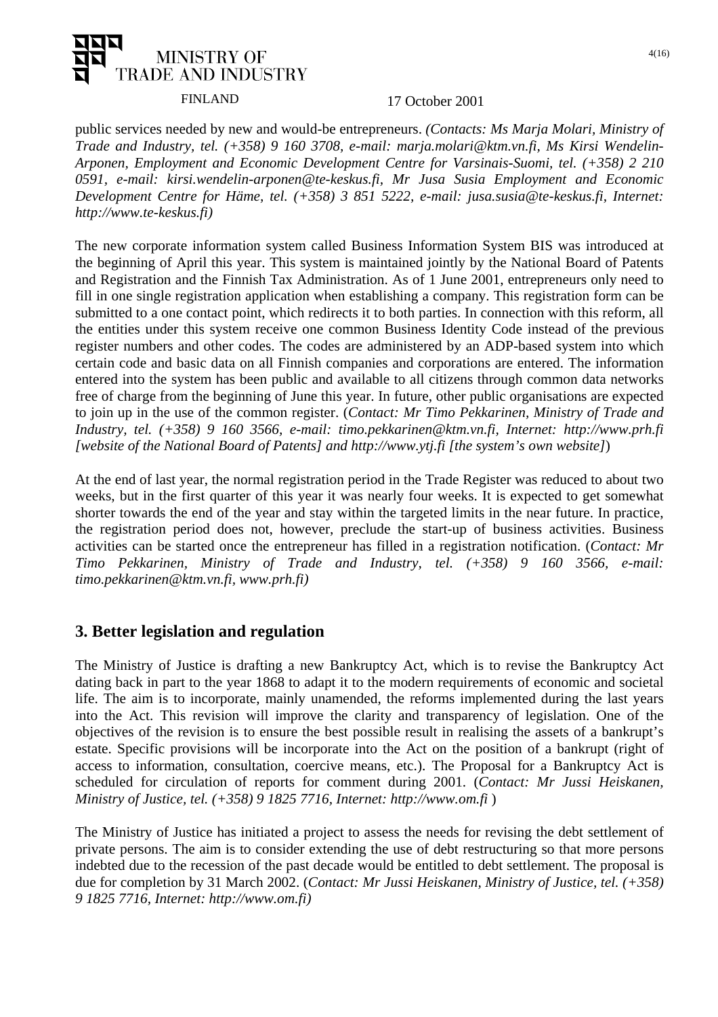FINLAND 17 October 2001

public services needed by new and would-be entrepreneurs. *(Contacts: Ms Marja Molari, Ministry of Trade and Industry, tel. (+358) 9 160 3708, e-mail: marja.molari@ktm.vn.fi, Ms Kirsi Wendelin-Arponen, Employment and Economic Development Centre for Varsinais-Suomi, tel. (+358) 2 210 0591, e-mail: kirsi.wendelin-arponen@te-keskus.fi, Mr Jusa Susia Employment and Economic Development Centre for Häme, tel. (+358) 3 851 5222, e-mail: jusa.susia@te-keskus.fi, Internet: http://www.te-keskus.fi)*

The new corporate information system called Business Information System BIS was introduced at the beginning of April this year. This system is maintained jointly by the National Board of Patents and Registration and the Finnish Tax Administration. As of 1 June 2001, entrepreneurs only need to fill in one single registration application when establishing a company. This registration form can be submitted to a one contact point, which redirects it to both parties. In connection with this reform, all the entities under this system receive one common Business Identity Code instead of the previous register numbers and other codes. The codes are administered by an ADP-based system into which certain code and basic data on all Finnish companies and corporations are entered. The information entered into the system has been public and available to all citizens through common data networks free of charge from the beginning of June this year. In future, other public organisations are expected to join up in the use of the common register. (*Contact: Mr Timo Pekkarinen, Ministry of Trade and Industry, tel. (+358) 9 160 3566, e-mail: timo.pekkarinen@ktm.vn.fi, Internet: http://www.prh.fi [website of the National Board of Patents] and http://www.ytj.fi [the system's own website]*)

At the end of last year, the normal registration period in the Trade Register was reduced to about two weeks, but in the first quarter of this year it was nearly four weeks. It is expected to get somewhat shorter towards the end of the year and stay within the targeted limits in the near future. In practice, the registration period does not, however, preclude the start-up of business activities. Business activities can be started once the entrepreneur has filled in a registration notification. (*Contact: Mr Timo Pekkarinen, Ministry of Trade and Industry, tel. (+358) 9 160 3566, e-mail: timo.pekkarinen@ktm.vn.fi, www.prh.fi)*

### **3. Better legislation and regulation**

The Ministry of Justice is drafting a new Bankruptcy Act, which is to revise the Bankruptcy Act dating back in part to the year 1868 to adapt it to the modern requirements of economic and societal life. The aim is to incorporate, mainly unamended, the reforms implemented during the last years into the Act. This revision will improve the clarity and transparency of legislation. One of the objectives of the revision is to ensure the best possible result in realising the assets of a bankrupt's estate. Specific provisions will be incorporate into the Act on the position of a bankrupt (right of access to information, consultation, coercive means, etc.). The Proposal for a Bankruptcy Act is scheduled for circulation of reports for comment during 2001. (*Contact: Mr Jussi Heiskanen, Ministry of Justice, tel. (+358) 9 1825 7716, Internet: http://www.om.fi* )

The Ministry of Justice has initiated a project to assess the needs for revising the debt settlement of private persons. The aim is to consider extending the use of debt restructuring so that more persons indebted due to the recession of the past decade would be entitled to debt settlement. The proposal is due for completion by 31 March 2002. (*Contact: Mr Jussi Heiskanen, Ministry of Justice, tel. (+358) 9 1825 7716, Internet: http://www.om.fi)*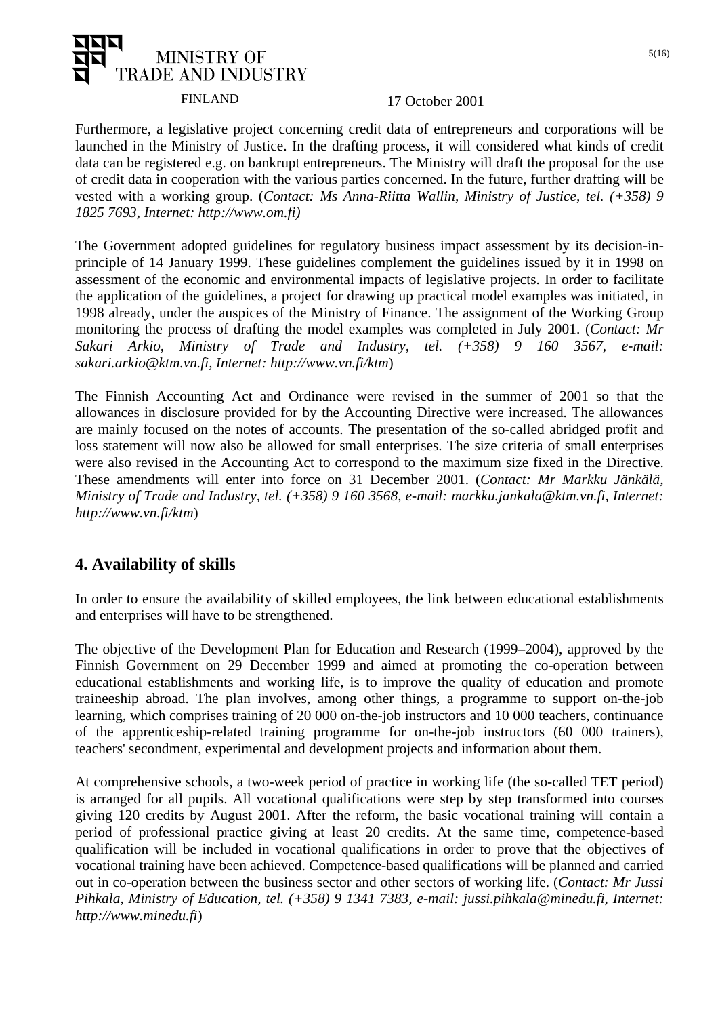

Furthermore, a legislative project concerning credit data of entrepreneurs and corporations will be launched in the Ministry of Justice. In the drafting process, it will considered what kinds of credit data can be registered e.g. on bankrupt entrepreneurs. The Ministry will draft the proposal for the use of credit data in cooperation with the various parties concerned. In the future, further drafting will be vested with a working group. (*Contact: Ms Anna-Riitta Wallin, Ministry of Justice, tel. (+358) 9 1825 7693, Internet: http://www.om.fi)*

The Government adopted guidelines for regulatory business impact assessment by its decision-inprinciple of 14 January 1999. These guidelines complement the guidelines issued by it in 1998 on assessment of the economic and environmental impacts of legislative projects. In order to facilitate the application of the guidelines, a project for drawing up practical model examples was initiated, in 1998 already, under the auspices of the Ministry of Finance. The assignment of the Working Group monitoring the process of drafting the model examples was completed in July 2001. (*Contact: Mr Sakari Arkio, Ministry of Trade and Industry, tel. (+358) 9 160 3567, e-mail: sakari.arkio@ktm.vn.fi, Internet: http://www.vn.fi/ktm*)

The Finnish Accounting Act and Ordinance were revised in the summer of 2001 so that the allowances in disclosure provided for by the Accounting Directive were increased. The allowances are mainly focused on the notes of accounts. The presentation of the so-called abridged profit and loss statement will now also be allowed for small enterprises. The size criteria of small enterprises were also revised in the Accounting Act to correspond to the maximum size fixed in the Directive. These amendments will enter into force on 31 December 2001. (*Contact: Mr Markku Jänkälä, Ministry of Trade and Industry, tel. (+358) 9 160 3568, e-mail: markku.jankala@ktm.vn.fi, Internet: http://www.vn.fi/ktm*)

### **4. Availability of skills**

In order to ensure the availability of skilled employees, the link between educational establishments and enterprises will have to be strengthened.

The objective of the Development Plan for Education and Research (1999–2004), approved by the Finnish Government on 29 December 1999 and aimed at promoting the co-operation between educational establishments and working life, is to improve the quality of education and promote traineeship abroad. The plan involves, among other things, a programme to support on-the-job learning, which comprises training of 20 000 on-the-job instructors and 10 000 teachers, continuance of the apprenticeship-related training programme for on-the-job instructors (60 000 trainers), teachers' secondment, experimental and development projects and information about them.

At comprehensive schools, a two-week period of practice in working life (the so-called TET period) is arranged for all pupils. All vocational qualifications were step by step transformed into courses giving 120 credits by August 2001. After the reform, the basic vocational training will contain a period of professional practice giving at least 20 credits. At the same time, competence-based qualification will be included in vocational qualifications in order to prove that the objectives of vocational training have been achieved. Competence-based qualifications will be planned and carried out in co-operation between the business sector and other sectors of working life. (*Contact: Mr Jussi Pihkala, Ministry of Education, tel. (+358) 9 1341 7383, e-mail: jussi.pihkala@minedu.fi, Internet: http://www.minedu.fi*)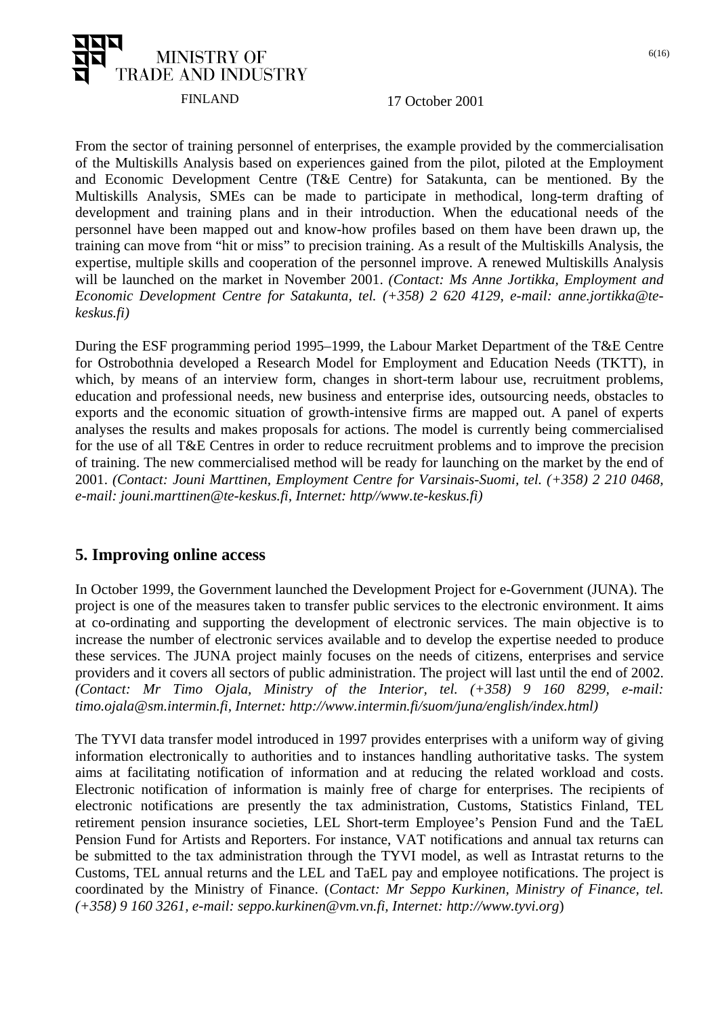#### FINLAND 17 October 2001

From the sector of training personnel of enterprises, the example provided by the commercialisation of the Multiskills Analysis based on experiences gained from the pilot, piloted at the Employment and Economic Development Centre (T&E Centre) for Satakunta, can be mentioned. By the Multiskills Analysis, SMEs can be made to participate in methodical, long-term drafting of development and training plans and in their introduction. When the educational needs of the personnel have been mapped out and know-how profiles based on them have been drawn up, the training can move from "hit or miss" to precision training. As a result of the Multiskills Analysis, the expertise, multiple skills and cooperation of the personnel improve. A renewed Multiskills Analysis will be launched on the market in November 2001. *(Contact: Ms Anne Jortikka, Employment and Economic Development Centre for Satakunta, tel. (+358) 2 620 4129, e-mail: anne.jortikka@tekeskus.fi)*

During the ESF programming period 1995–1999, the Labour Market Department of the T&E Centre for Ostrobothnia developed a Research Model for Employment and Education Needs (TKTT), in which, by means of an interview form, changes in short-term labour use, recruitment problems, education and professional needs, new business and enterprise ides, outsourcing needs, obstacles to exports and the economic situation of growth-intensive firms are mapped out. A panel of experts analyses the results and makes proposals for actions. The model is currently being commercialised for the use of all T&E Centres in order to reduce recruitment problems and to improve the precision of training. The new commercialised method will be ready for launching on the market by the end of 2001. *(Contact: Jouni Marttinen, Employment Centre for Varsinais-Suomi, tel. (+358) 2 210 0468, e-mail: jouni.marttinen@te-keskus.fi, Internet: http//www.te-keskus.fi)*

### **5. Improving online access**

In October 1999, the Government launched the Development Project for e-Government (JUNA). The project is one of the measures taken to transfer public services to the electronic environment. It aims at co-ordinating and supporting the development of electronic services. The main objective is to increase the number of electronic services available and to develop the expertise needed to produce these services. The JUNA project mainly focuses on the needs of citizens, enterprises and service providers and it covers all sectors of public administration. The project will last until the end of 2002. *(Contact: Mr Timo Ojala, Ministry of the Interior, tel. (+358) 9 160 8299, e-mail: timo.ojala@sm.intermin.fi, Internet: http://www.intermin.fi/suom/juna/english/index.html)*

The TYVI data transfer model introduced in 1997 provides enterprises with a uniform way of giving information electronically to authorities and to instances handling authoritative tasks. The system aims at facilitating notification of information and at reducing the related workload and costs. Electronic notification of information is mainly free of charge for enterprises. The recipients of electronic notifications are presently the tax administration, Customs, Statistics Finland, TEL retirement pension insurance societies, LEL Short-term Employee's Pension Fund and the TaEL Pension Fund for Artists and Reporters. For instance, VAT notifications and annual tax returns can be submitted to the tax administration through the TYVI model, as well as Intrastat returns to the Customs, TEL annual returns and the LEL and TaEL pay and employee notifications. The project is coordinated by the Ministry of Finance. (*Contact: Mr Seppo Kurkinen, Ministry of Finance, tel. (+358) 9 160 3261, e-mail: seppo.kurkinen@vm.vn.fi, Internet: http://www.tyvi.org*)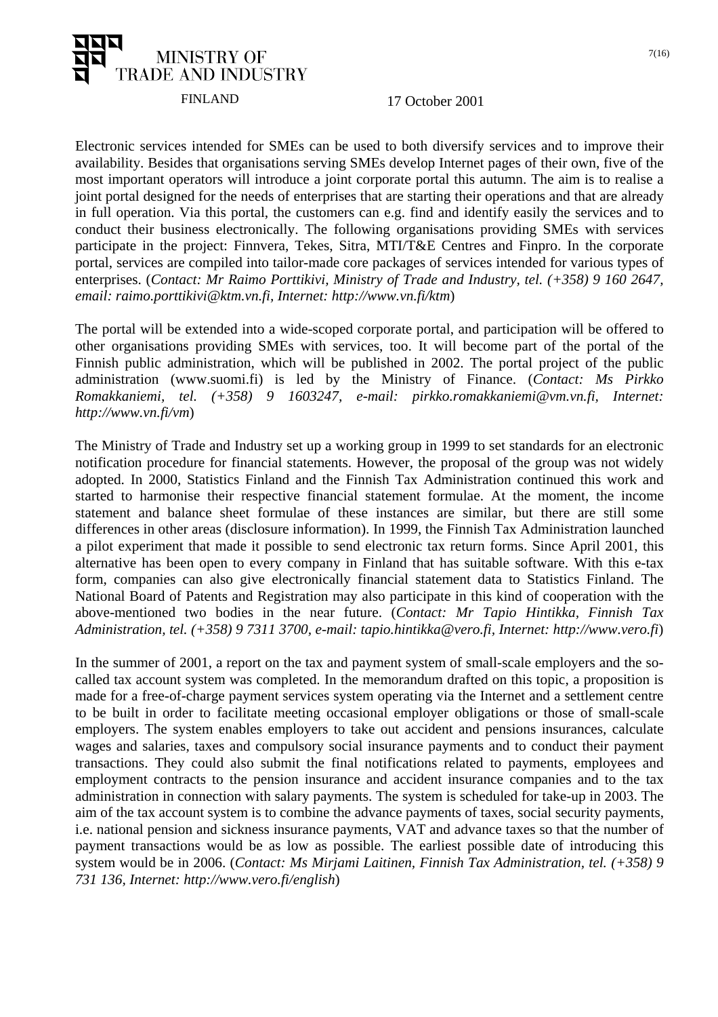FINLAND 17 October 2001

Electronic services intended for SMEs can be used to both diversify services and to improve their availability. Besides that organisations serving SMEs develop Internet pages of their own, five of the most important operators will introduce a joint corporate portal this autumn. The aim is to realise a joint portal designed for the needs of enterprises that are starting their operations and that are already in full operation. Via this portal, the customers can e.g. find and identify easily the services and to conduct their business electronically. The following organisations providing SMEs with services participate in the project: Finnvera, Tekes, Sitra, MTI/T&E Centres and Finpro. In the corporate portal, services are compiled into tailor-made core packages of services intended for various types of enterprises. (*Contact: Mr Raimo Porttikivi, Ministry of Trade and Industry, tel. (+358) 9 160 2647, email: raimo.porttikivi@ktm.vn.fi, Internet: http://www.vn.fi/ktm*)

The portal will be extended into a wide-scoped corporate portal, and participation will be offered to other organisations providing SMEs with services, too. It will become part of the portal of the Finnish public administration, which will be published in 2002. The portal project of the public administration (www.suomi.fi) is led by the Ministry of Finance. (*Contact: Ms Pirkko Romakkaniemi, tel. (+358) 9 1603247, e-mail: pirkko.romakkaniemi@vm.vn.fi, Internet: http://www.vn.fi/vm*)

The Ministry of Trade and Industry set up a working group in 1999 to set standards for an electronic notification procedure for financial statements. However, the proposal of the group was not widely adopted. In 2000, Statistics Finland and the Finnish Tax Administration continued this work and started to harmonise their respective financial statement formulae. At the moment, the income statement and balance sheet formulae of these instances are similar, but there are still some differences in other areas (disclosure information). In 1999, the Finnish Tax Administration launched a pilot experiment that made it possible to send electronic tax return forms. Since April 2001, this alternative has been open to every company in Finland that has suitable software. With this e-tax form, companies can also give electronically financial statement data to Statistics Finland. The National Board of Patents and Registration may also participate in this kind of cooperation with the above-mentioned two bodies in the near future. (*Contact: Mr Tapio Hintikka, Finnish Tax Administration, tel. (+358) 9 7311 3700, e-mail: tapio.hintikka@vero.fi, Internet: http://www.vero.fi*)

In the summer of 2001, a report on the tax and payment system of small-scale employers and the socalled tax account system was completed. In the memorandum drafted on this topic, a proposition is made for a free-of-charge payment services system operating via the Internet and a settlement centre to be built in order to facilitate meeting occasional employer obligations or those of small-scale employers. The system enables employers to take out accident and pensions insurances, calculate wages and salaries, taxes and compulsory social insurance payments and to conduct their payment transactions. They could also submit the final notifications related to payments, employees and employment contracts to the pension insurance and accident insurance companies and to the tax administration in connection with salary payments. The system is scheduled for take-up in 2003. The aim of the tax account system is to combine the advance payments of taxes, social security payments, i.e. national pension and sickness insurance payments, VAT and advance taxes so that the number of payment transactions would be as low as possible. The earliest possible date of introducing this system would be in 2006. (*Contact: Ms Mirjami Laitinen, Finnish Tax Administration, tel. (+358) 9 731 136, Internet: http://www.vero.fi/english*)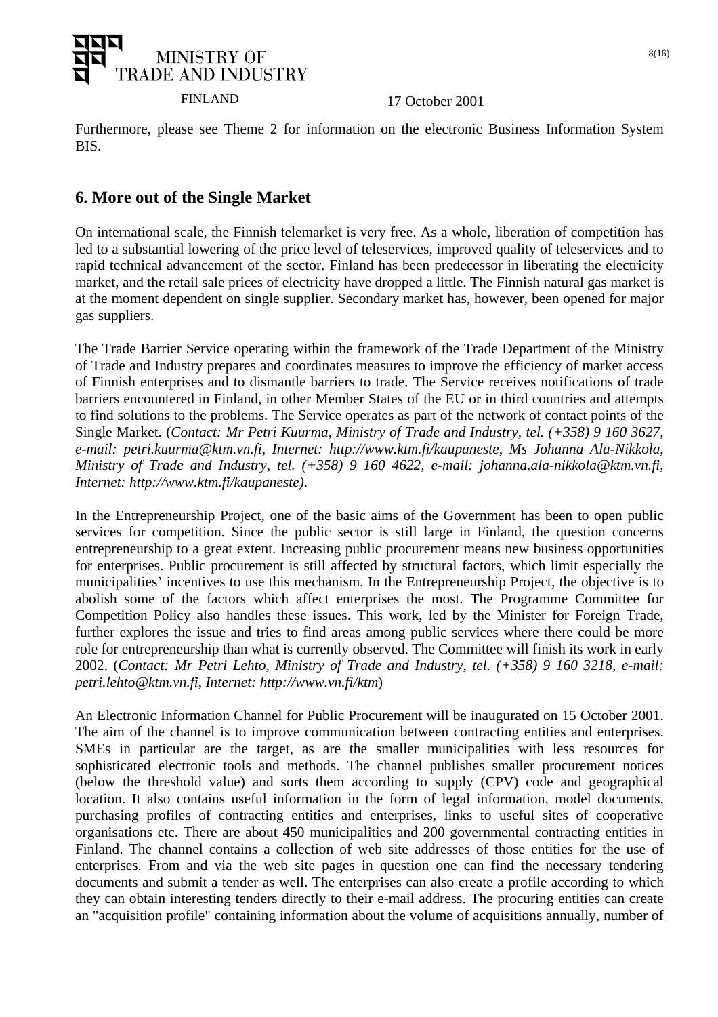FINLAND 17 October 2001

Furthermore, please see Theme 2 for information on the electronic Business Information System BIS.

## **6. More out of the Single Market**

On international scale, the Finnish telemarket is very free. As a whole, liberation of competition has led to a substantial lowering of the price level of teleservices, improved quality of teleservices and to rapid technical advancement of the sector. Finland has been predecessor in liberating the electricity market, and the retail sale prices of electricity have dropped a little. The Finnish natural gas market is at the moment dependent on single supplier. Secondary market has, however, been opened for major gas suppliers.

The Trade Barrier Service operating within the framework of the Trade Department of the Ministry of Trade and Industry prepares and coordinates measures to improve the efficiency of market access of Finnish enterprises and to dismantle barriers to trade. The Service receives notifications of trade barriers encountered in Finland, in other Member States of the EU or in third countries and attempts to find solutions to the problems. The Service operates as part of the network of contact points of the Single Market. (*Contact: Mr Petri Kuurma, Ministry of Trade and Industry, tel. (+358) 9 160 3627, e-mail: petri.kuurma@ktm.vn.fi, Internet: http://www.ktm.fi/kaupaneste, Ms Johanna Ala-Nikkola, Ministry of Trade and Industry, tel. (+358) 9 160 4622, e-mail: johanna.ala-nikkola@ktm.vn.fi, Internet: http://www.ktm.fi/kaupaneste)*.

In the Entrepreneurship Project, one of the basic aims of the Government has been to open public services for competition. Since the public sector is still large in Finland, the question concerns entrepreneurship to a great extent. Increasing public procurement means new business opportunities for enterprises. Public procurement is still affected by structural factors, which limit especially the municipalities' incentives to use this mechanism. In the Entrepreneurship Project, the objective is to abolish some of the factors which affect enterprises the most. The Programme Committee for Competition Policy also handles these issues. This work, led by the Minister for Foreign Trade, further explores the issue and tries to find areas among public services where there could be more role for entrepreneurship than what is currently observed. The Committee will finish its work in early 2002. (*Contact: Mr Petri Lehto, Ministry of Trade and Industry, tel. (+358) 9 160 3218, e-mail: petri.lehto@ktm.vn.fi, Internet: http://www.vn.fi/ktm*)

An Electronic Information Channel for Public Procurement will be inaugurated on 15 October 2001. The aim of the channel is to improve communication between contracting entities and enterprises. SMEs in particular are the target, as are the smaller municipalities with less resources for sophisticated electronic tools and methods. The channel publishes smaller procurement notices (below the threshold value) and sorts them according to supply (CPV) code and geographical location. It also contains useful information in the form of legal information, model documents, purchasing profiles of contracting entities and enterprises, links to useful sites of cooperative organisations etc. There are about 450 municipalities and 200 governmental contracting entities in Finland. The channel contains a collection of web site addresses of those entities for the use of enterprises. From and via the web site pages in question one can find the necessary tendering documents and submit a tender as well. The enterprises can also create a profile according to which they can obtain interesting tenders directly to their e-mail address. The procuring entities can create an "acquisition profile" containing information about the volume of acquisitions annually, number of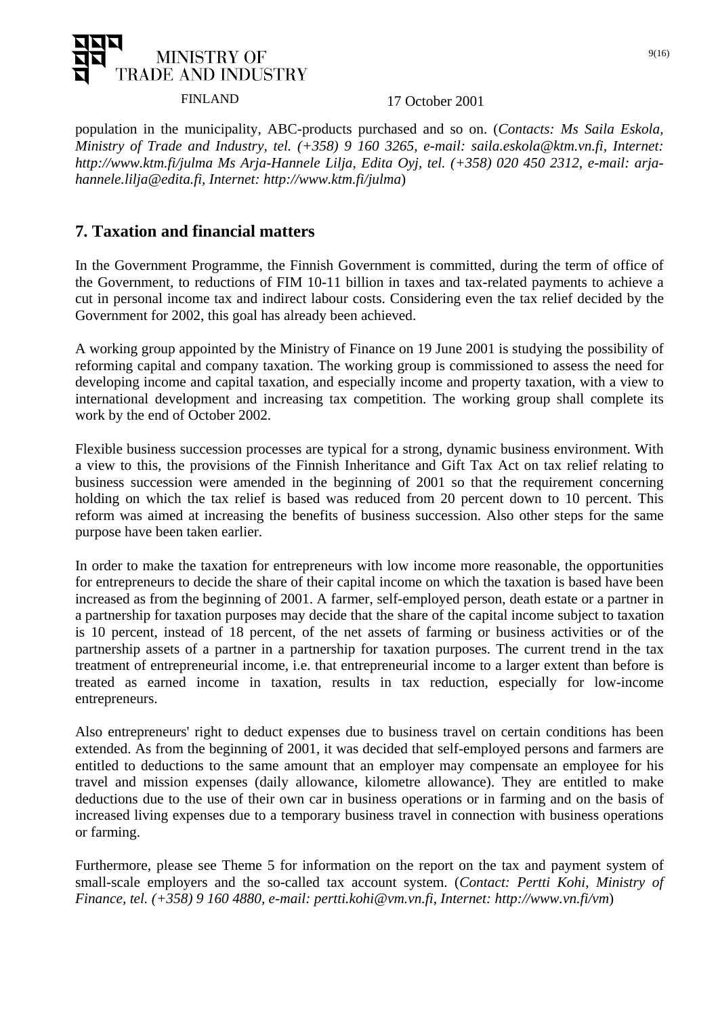FINLAND 17 October 2001

population in the municipality, ABC-products purchased and so on. (*Contacts: Ms Saila Eskola, Ministry of Trade and Industry, tel. (+358) 9 160 3265, e-mail: saila.eskola@ktm.vn.fi, Internet: http://www.ktm.fi/julma Ms Arja-Hannele Lilja, Edita Oyj, tel. (+358) 020 450 2312, e-mail: arjahannele.lilja@edita.fi, Internet: http://www.ktm.fi/julma*)

## **7. Taxation and financial matters**

In the Government Programme, the Finnish Government is committed, during the term of office of the Government, to reductions of FIM 10-11 billion in taxes and tax-related payments to achieve a cut in personal income tax and indirect labour costs. Considering even the tax relief decided by the Government for 2002, this goal has already been achieved.

A working group appointed by the Ministry of Finance on 19 June 2001 is studying the possibility of reforming capital and company taxation. The working group is commissioned to assess the need for developing income and capital taxation, and especially income and property taxation, with a view to international development and increasing tax competition. The working group shall complete its work by the end of October 2002.

Flexible business succession processes are typical for a strong, dynamic business environment. With a view to this, the provisions of the Finnish Inheritance and Gift Tax Act on tax relief relating to business succession were amended in the beginning of 2001 so that the requirement concerning holding on which the tax relief is based was reduced from 20 percent down to 10 percent. This reform was aimed at increasing the benefits of business succession. Also other steps for the same purpose have been taken earlier.

In order to make the taxation for entrepreneurs with low income more reasonable, the opportunities for entrepreneurs to decide the share of their capital income on which the taxation is based have been increased as from the beginning of 2001. A farmer, self-employed person, death estate or a partner in a partnership for taxation purposes may decide that the share of the capital income subject to taxation is 10 percent, instead of 18 percent, of the net assets of farming or business activities or of the partnership assets of a partner in a partnership for taxation purposes. The current trend in the tax treatment of entrepreneurial income, i.e. that entrepreneurial income to a larger extent than before is treated as earned income in taxation, results in tax reduction, especially for low-income entrepreneurs.

Also entrepreneurs' right to deduct expenses due to business travel on certain conditions has been extended. As from the beginning of 2001, it was decided that self-employed persons and farmers are entitled to deductions to the same amount that an employer may compensate an employee for his travel and mission expenses (daily allowance, kilometre allowance). They are entitled to make deductions due to the use of their own car in business operations or in farming and on the basis of increased living expenses due to a temporary business travel in connection with business operations or farming.

Furthermore, please see Theme 5 for information on the report on the tax and payment system of small-scale employers and the so-called tax account system. (*Contact: Pertti Kohi, Ministry of Finance, tel. (+358) 9 160 4880, e-mail: pertti.kohi@vm.vn.fi, Internet: http://www.vn.fi/vm*)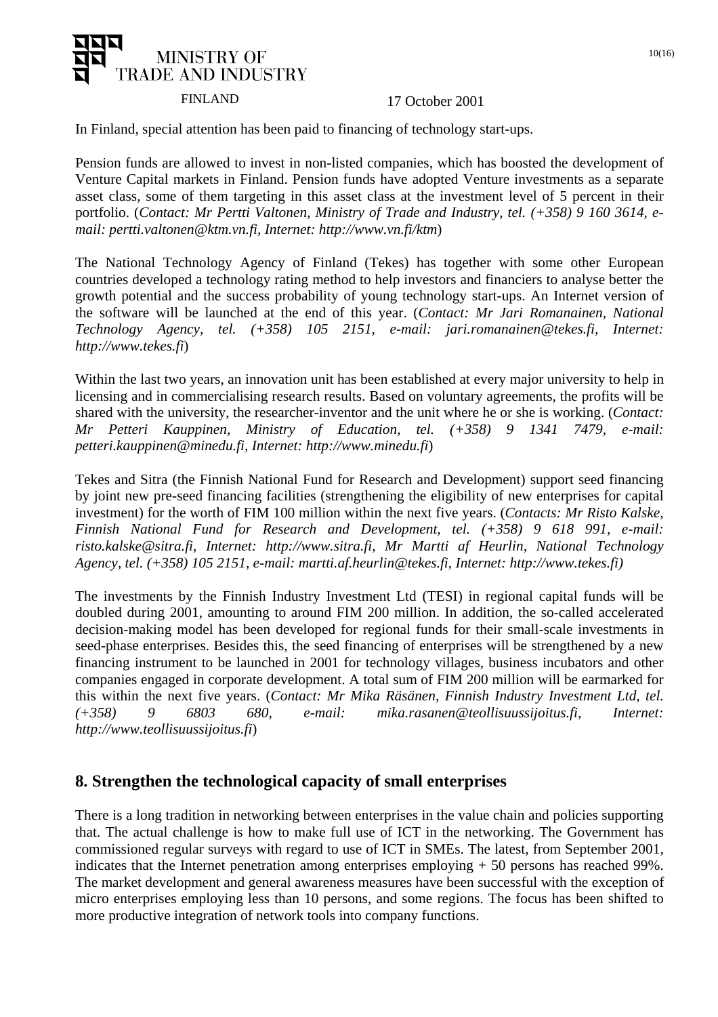#### 10(16)

# **MINISTRY OF TRADE AND INDUSTRY**

FINLAND 17 October 2001

In Finland, special attention has been paid to financing of technology start-ups.

Pension funds are allowed to invest in non-listed companies, which has boosted the development of Venture Capital markets in Finland. Pension funds have adopted Venture investments as a separate asset class, some of them targeting in this asset class at the investment level of 5 percent in their portfolio. (*Contact: Mr Pertti Valtonen, Ministry of Trade and Industry, tel. (+358) 9 160 3614, email: pertti.valtonen@ktm.vn.fi, Internet: http://www.vn.fi/ktm*)

The National Technology Agency of Finland (Tekes) has together with some other European countries developed a technology rating method to help investors and financiers to analyse better the growth potential and the success probability of young technology start-ups. An Internet version of the software will be launched at the end of this year. (*Contact: Mr Jari Romanainen, National Technology Agency, tel. (+358) 105 2151, e-mail: jari.romanainen@tekes.fi, Internet: http://www.tekes.fi*)

Within the last two years, an innovation unit has been established at every major university to help in licensing and in commercialising research results. Based on voluntary agreements, the profits will be shared with the university, the researcher-inventor and the unit where he or she is working. (*Contact: Mr Petteri Kauppinen, Ministry of Education, tel. (+358) 9 1341 7479, e-mail: petteri.kauppinen@minedu.fi, Internet: http://www.minedu.fi*)

Tekes and Sitra (the Finnish National Fund for Research and Development) support seed financing by joint new pre-seed financing facilities (strengthening the eligibility of new enterprises for capital investment) for the worth of FIM 100 million within the next five years. (*Contacts: Mr Risto Kalske, Finnish National Fund for Research and Development, tel. (+358) 9 618 991, e-mail: risto.kalske@sitra.fi, Internet: http://www.sitra.fi, Mr Martti af Heurlin, National Technology Agency, tel. (+358) 105 2151, e-mail: martti.af.heurlin@tekes.fi, Internet: http://www.tekes.fi)*

The investments by the Finnish Industry Investment Ltd (TESI) in regional capital funds will be doubled during 2001, amounting to around FIM 200 million. In addition, the so-called accelerated decision-making model has been developed for regional funds for their small-scale investments in seed-phase enterprises. Besides this, the seed financing of enterprises will be strengthened by a new financing instrument to be launched in 2001 for technology villages, business incubators and other companies engaged in corporate development. A total sum of FIM 200 million will be earmarked for this within the next five years. (*Contact: Mr Mika Räsänen, Finnish Industry Investment Ltd, tel. (+358) 9 6803 680, e-mail: mika.rasanen@teollisuussijoitus.fi, Internet: http://www.teollisuussijoitus.fi*)

## **8. Strengthen the technological capacity of small enterprises**

There is a long tradition in networking between enterprises in the value chain and policies supporting that. The actual challenge is how to make full use of ICT in the networking. The Government has commissioned regular surveys with regard to use of ICT in SMEs. The latest, from September 2001, indicates that the Internet penetration among enterprises employing + 50 persons has reached 99%. The market development and general awareness measures have been successful with the exception of micro enterprises employing less than 10 persons, and some regions. The focus has been shifted to more productive integration of network tools into company functions.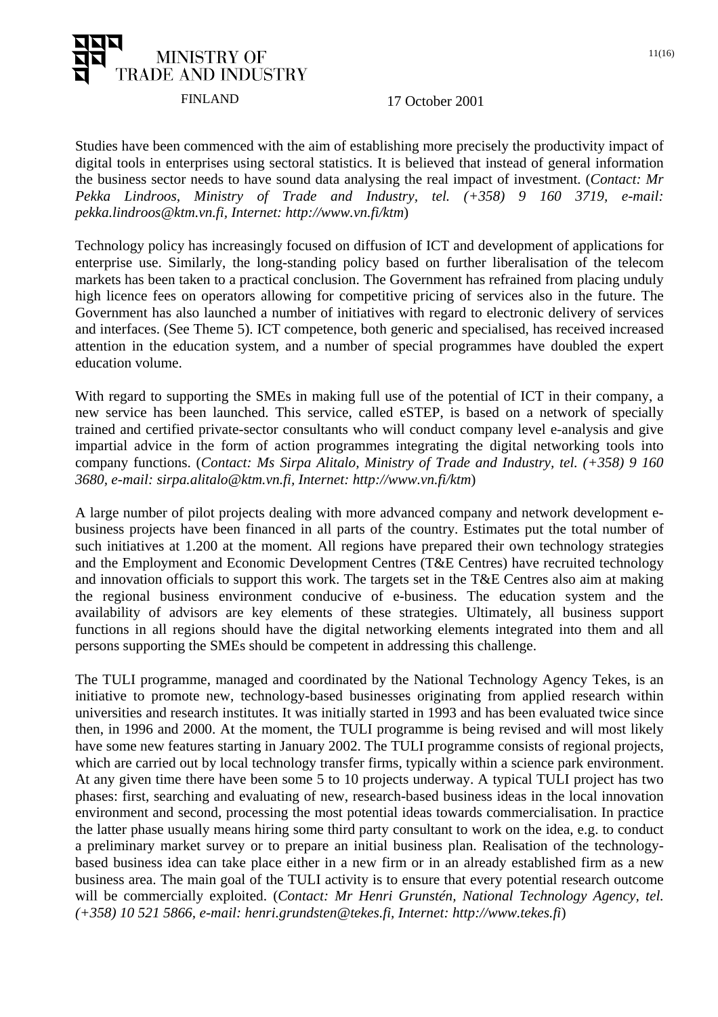#### FINLAND 17 October 2001

Studies have been commenced with the aim of establishing more precisely the productivity impact of digital tools in enterprises using sectoral statistics. It is believed that instead of general information the business sector needs to have sound data analysing the real impact of investment. (*Contact: Mr Pekka Lindroos, Ministry of Trade and Industry, tel. (+358) 9 160 3719, e-mail: pekka.lindroos@ktm.vn.fi, Internet: http://www.vn.fi/ktm*)

Technology policy has increasingly focused on diffusion of ICT and development of applications for enterprise use. Similarly, the long-standing policy based on further liberalisation of the telecom markets has been taken to a practical conclusion. The Government has refrained from placing unduly high licence fees on operators allowing for competitive pricing of services also in the future. The Government has also launched a number of initiatives with regard to electronic delivery of services and interfaces. (See Theme 5). ICT competence, both generic and specialised, has received increased attention in the education system, and a number of special programmes have doubled the expert education volume.

With regard to supporting the SMEs in making full use of the potential of ICT in their company, a new service has been launched. This service, called eSTEP, is based on a network of specially trained and certified private-sector consultants who will conduct company level e-analysis and give impartial advice in the form of action programmes integrating the digital networking tools into company functions. (*Contact: Ms Sirpa Alitalo, Ministry of Trade and Industry, tel. (+358) 9 160 3680, e-mail: sirpa.alitalo@ktm.vn.fi, Internet: http://www.vn.fi/ktm*)

A large number of pilot projects dealing with more advanced company and network development ebusiness projects have been financed in all parts of the country. Estimates put the total number of such initiatives at 1.200 at the moment. All regions have prepared their own technology strategies and the Employment and Economic Development Centres (T&E Centres) have recruited technology and innovation officials to support this work. The targets set in the T&E Centres also aim at making the regional business environment conducive of e-business. The education system and the availability of advisors are key elements of these strategies. Ultimately, all business support functions in all regions should have the digital networking elements integrated into them and all persons supporting the SMEs should be competent in addressing this challenge.

The TULI programme, managed and coordinated by the National Technology Agency Tekes, is an initiative to promote new, technology-based businesses originating from applied research within universities and research institutes. It was initially started in 1993 and has been evaluated twice since then, in 1996 and 2000. At the moment, the TULI programme is being revised and will most likely have some new features starting in January 2002. The TULI programme consists of regional projects, which are carried out by local technology transfer firms, typically within a science park environment. At any given time there have been some 5 to 10 projects underway. A typical TULI project has two phases: first, searching and evaluating of new, research-based business ideas in the local innovation environment and second, processing the most potential ideas towards commercialisation. In practice the latter phase usually means hiring some third party consultant to work on the idea, e.g. to conduct a preliminary market survey or to prepare an initial business plan. Realisation of the technologybased business idea can take place either in a new firm or in an already established firm as a new business area. The main goal of the TULI activity is to ensure that every potential research outcome will be commercially exploited. (*Contact: Mr Henri Grunstén, National Technology Agency, tel. (+358) 10 521 5866, e-mail: henri.grundsten@tekes.fi, Internet: http://www.tekes.fi*)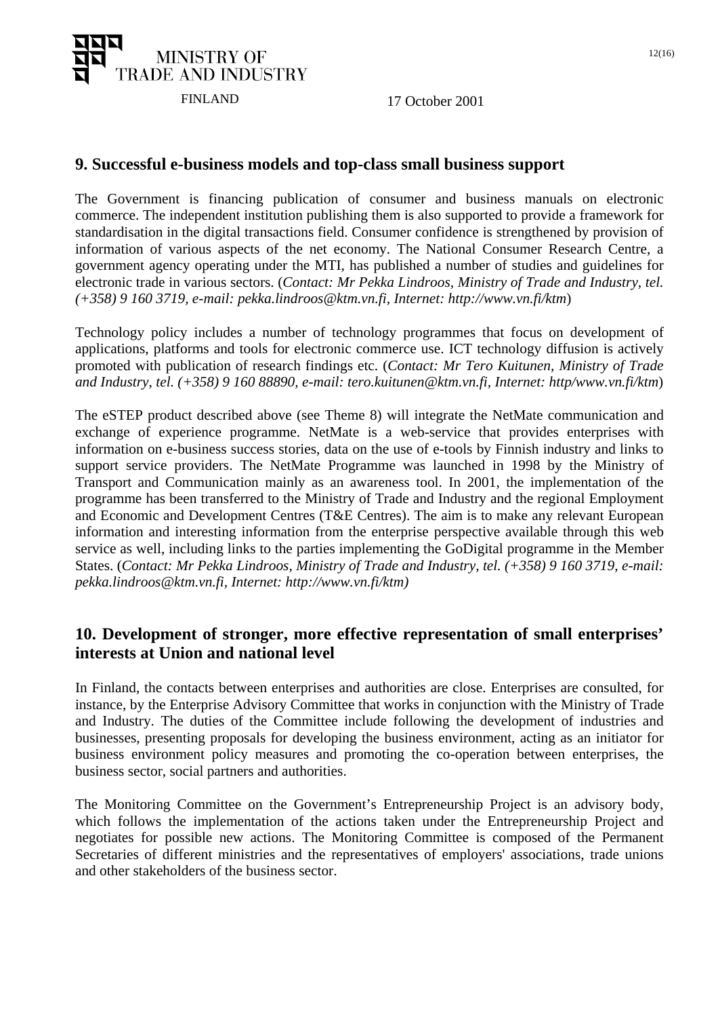## **9. Successful e-business models and top-class small business support**

**MINISTRY OF TRADE AND INDUSTRY** 

The Government is financing publication of consumer and business manuals on electronic commerce. The independent institution publishing them is also supported to provide a framework for standardisation in the digital transactions field. Consumer confidence is strengthened by provision of information of various aspects of the net economy. The National Consumer Research Centre, a government agency operating under the MTI, has published a number of studies and guidelines for electronic trade in various sectors. (*Contact: Mr Pekka Lindroos, Ministry of Trade and Industry, tel. (+358) 9 160 3719, e-mail: pekka.lindroos@ktm.vn.fi, Internet: http://www.vn.fi/ktm*)

Technology policy includes a number of technology programmes that focus on development of applications, platforms and tools for electronic commerce use. ICT technology diffusion is actively promoted with publication of research findings etc. (*Contact: Mr Tero Kuitunen, Ministry of Trade and Industry, tel. (+358) 9 160 88890, e-mail: tero.kuitunen@ktm.vn.fi, Internet: http/www.vn.fi/ktm*)

The eSTEP product described above (see Theme 8) will integrate the NetMate communication and exchange of experience programme. NetMate is a web-service that provides enterprises with information on e-business success stories, data on the use of e-tools by Finnish industry and links to support service providers. The NetMate Programme was launched in 1998 by the Ministry of Transport and Communication mainly as an awareness tool. In 2001, the implementation of the programme has been transferred to the Ministry of Trade and Industry and the regional Employment and Economic and Development Centres (T&E Centres). The aim is to make any relevant European information and interesting information from the enterprise perspective available through this web service as well, including links to the parties implementing the GoDigital programme in the Member States. (*Contact: Mr Pekka Lindroos, Ministry of Trade and Industry, tel. (+358) 9 160 3719, e-mail: pekka.lindroos@ktm.vn.fi, Internet: http://www.vn.fi/ktm)*

## **10. Development of stronger, more effective representation of small enterprises' interests at Union and national level**

In Finland, the contacts between enterprises and authorities are close. Enterprises are consulted, for instance, by the Enterprise Advisory Committee that works in conjunction with the Ministry of Trade and Industry. The duties of the Committee include following the development of industries and businesses, presenting proposals for developing the business environment, acting as an initiator for business environment policy measures and promoting the co-operation between enterprises, the business sector, social partners and authorities.

The Monitoring Committee on the Government's Entrepreneurship Project is an advisory body, which follows the implementation of the actions taken under the Entrepreneurship Project and negotiates for possible new actions. The Monitoring Committee is composed of the Permanent Secretaries of different ministries and the representatives of employers' associations, trade unions and other stakeholders of the business sector.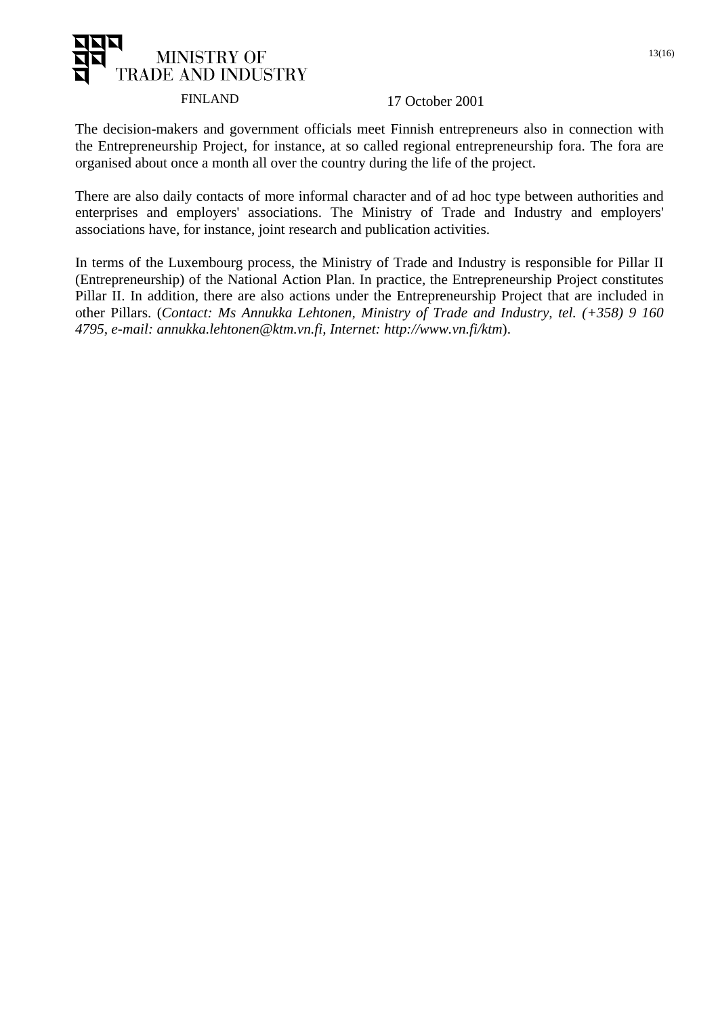### FINLAND 17 October 2001

The decision-makers and government officials meet Finnish entrepreneurs also in connection with the Entrepreneurship Project, for instance, at so called regional entrepreneurship fora. The fora are organised about once a month all over the country during the life of the project.

There are also daily contacts of more informal character and of ad hoc type between authorities and enterprises and employers' associations. The Ministry of Trade and Industry and employers' associations have, for instance, joint research and publication activities.

In terms of the Luxembourg process, the Ministry of Trade and Industry is responsible for Pillar II (Entrepreneurship) of the National Action Plan. In practice, the Entrepreneurship Project constitutes Pillar II. In addition, there are also actions under the Entrepreneurship Project that are included in other Pillars. (*Contact: Ms Annukka Lehtonen, Ministry of Trade and Industry, tel. (+358) 9 160 4795, e-mail: annukka.lehtonen@ktm.vn.fi, Internet: http://www.vn.fi/ktm*).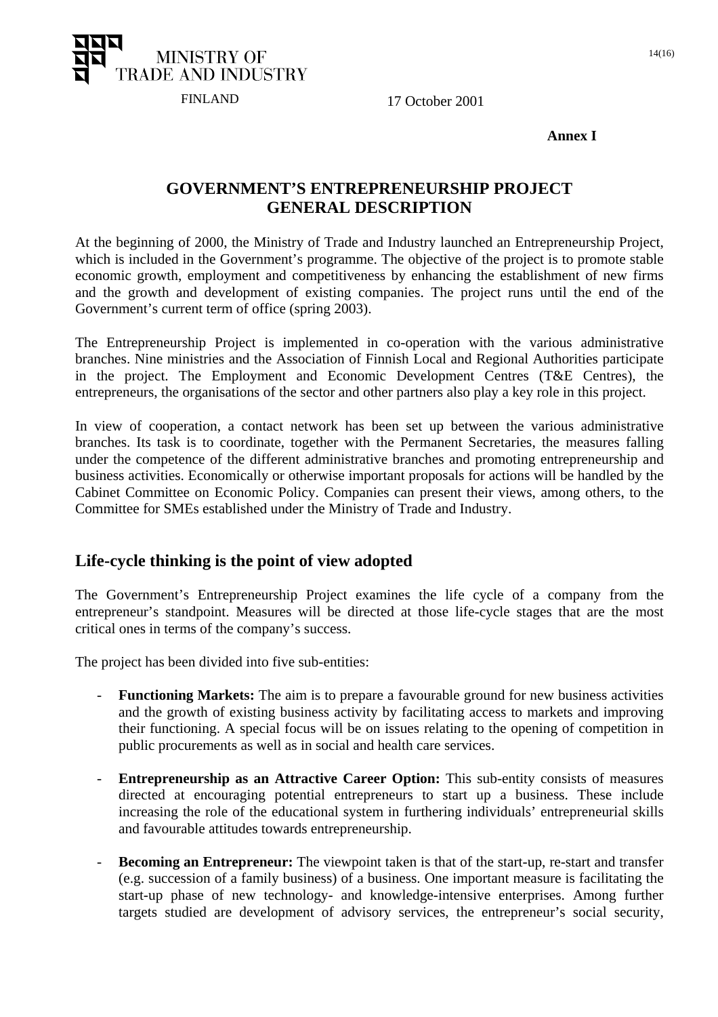

#### **Annex I**

## **GOVERNMENT'S ENTREPRENEURSHIP PROJECT GENERAL DESCRIPTION**

At the beginning of 2000, the Ministry of Trade and Industry launched an Entrepreneurship Project, which is included in the Government's programme. The objective of the project is to promote stable economic growth, employment and competitiveness by enhancing the establishment of new firms and the growth and development of existing companies. The project runs until the end of the Government's current term of office (spring 2003).

The Entrepreneurship Project is implemented in co-operation with the various administrative branches. Nine ministries and the Association of Finnish Local and Regional Authorities participate in the project. The Employment and Economic Development Centres (T&E Centres), the entrepreneurs, the organisations of the sector and other partners also play a key role in this project.

In view of cooperation, a contact network has been set up between the various administrative branches. Its task is to coordinate, together with the Permanent Secretaries, the measures falling under the competence of the different administrative branches and promoting entrepreneurship and business activities. Economically or otherwise important proposals for actions will be handled by the Cabinet Committee on Economic Policy. Companies can present their views, among others, to the Committee for SMEs established under the Ministry of Trade and Industry.

### **Life-cycle thinking is the point of view adopted**

The Government's Entrepreneurship Project examines the life cycle of a company from the entrepreneur's standpoint. Measures will be directed at those life-cycle stages that are the most critical ones in terms of the company's success.

The project has been divided into five sub-entities:

- Functioning Markets: The aim is to prepare a favourable ground for new business activities and the growth of existing business activity by facilitating access to markets and improving their functioning. A special focus will be on issues relating to the opening of competition in public procurements as well as in social and health care services.
- **Entrepreneurship as an Attractive Career Option:** This sub-entity consists of measures directed at encouraging potential entrepreneurs to start up a business. These include increasing the role of the educational system in furthering individuals' entrepreneurial skills and favourable attitudes towards entrepreneurship.
- **Becoming an Entrepreneur:** The viewpoint taken is that of the start-up, re-start and transfer (e.g. succession of a family business) of a business. One important measure is facilitating the start-up phase of new technology- and knowledge-intensive enterprises. Among further targets studied are development of advisory services, the entrepreneur's social security,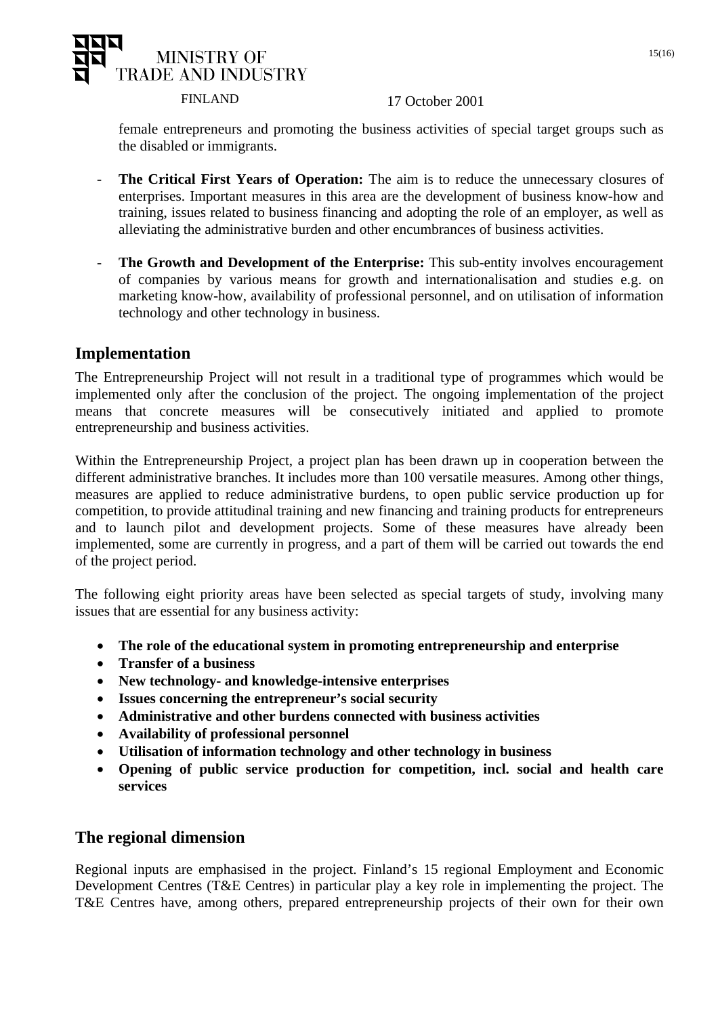



female entrepreneurs and promoting the business activities of special target groups such as the disabled or immigrants.

- **The Critical First Years of Operation:** The aim is to reduce the unnecessary closures of enterprises. Important measures in this area are the development of business know-how and training, issues related to business financing and adopting the role of an employer, as well as alleviating the administrative burden and other encumbrances of business activities.
- The Growth and Development of the Enterprise: This sub-entity involves encouragement of companies by various means for growth and internationalisation and studies e.g. on marketing know-how, availability of professional personnel, and on utilisation of information technology and other technology in business.

## **Implementation**

The Entrepreneurship Project will not result in a traditional type of programmes which would be implemented only after the conclusion of the project. The ongoing implementation of the project means that concrete measures will be consecutively initiated and applied to promote entrepreneurship and business activities.

Within the Entrepreneurship Project, a project plan has been drawn up in cooperation between the different administrative branches. It includes more than 100 versatile measures. Among other things, measures are applied to reduce administrative burdens, to open public service production up for competition, to provide attitudinal training and new financing and training products for entrepreneurs and to launch pilot and development projects. Some of these measures have already been implemented, some are currently in progress, and a part of them will be carried out towards the end of the project period.

The following eight priority areas have been selected as special targets of study, involving many issues that are essential for any business activity:

- **The role of the educational system in promoting entrepreneurship and enterprise**
- **Transfer of a business**
- **New technology- and knowledge-intensive enterprises**
- **Issues concerning the entrepreneur's social security**
- **Administrative and other burdens connected with business activities**
- **Availability of professional personnel**
- **Utilisation of information technology and other technology in business**
- **Opening of public service production for competition, incl. social and health care services**

### **The regional dimension**

Regional inputs are emphasised in the project. Finland's 15 regional Employment and Economic Development Centres (T&E Centres) in particular play a key role in implementing the project. The T&E Centres have, among others, prepared entrepreneurship projects of their own for their own